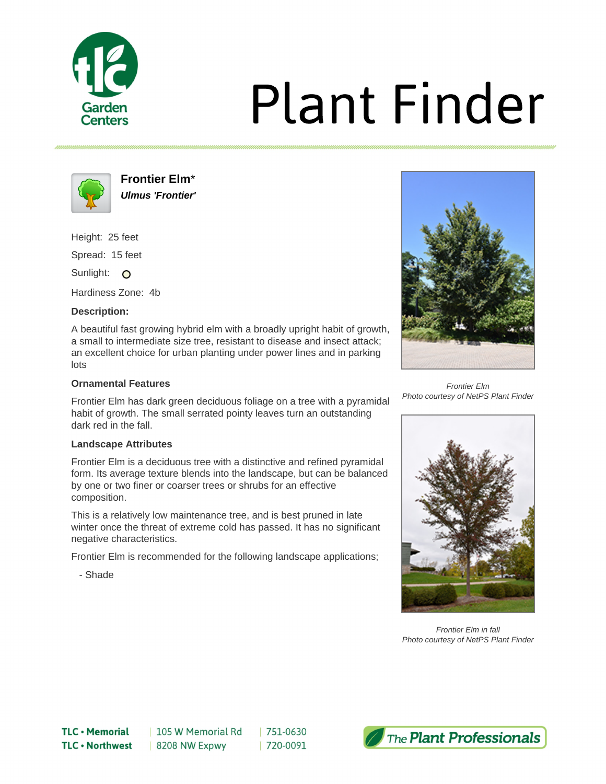

# **Plant Finder**



**Frontier Elm**\* **Ulmus 'Frontier'**

Height: 25 feet

Spread: 15 feet

Sunlight: O

Hardiness Zone: 4b

# **Description:**

A beautiful fast growing hybrid elm with a broadly upright habit of growth, a small to intermediate size tree, resistant to disease and insect attack; an excellent choice for urban planting under power lines and in parking lots

## **Ornamental Features**

Frontier Elm has dark green deciduous foliage on a tree with a pyramidal habit of growth. The small serrated pointy leaves turn an outstanding dark red in the fall.

#### **Landscape Attributes**

Frontier Elm is a deciduous tree with a distinctive and refined pyramidal form. Its average texture blends into the landscape, but can be balanced by one or two finer or coarser trees or shrubs for an effective composition.

This is a relatively low maintenance tree, and is best pruned in late winter once the threat of extreme cold has passed. It has no significant negative characteristics.

Frontier Elm is recommended for the following landscape applications;

- Shade



Frontier Elm Photo courtesy of NetPS Plant Finder



Frontier Elm in fall Photo courtesy of NetPS Plant Finder